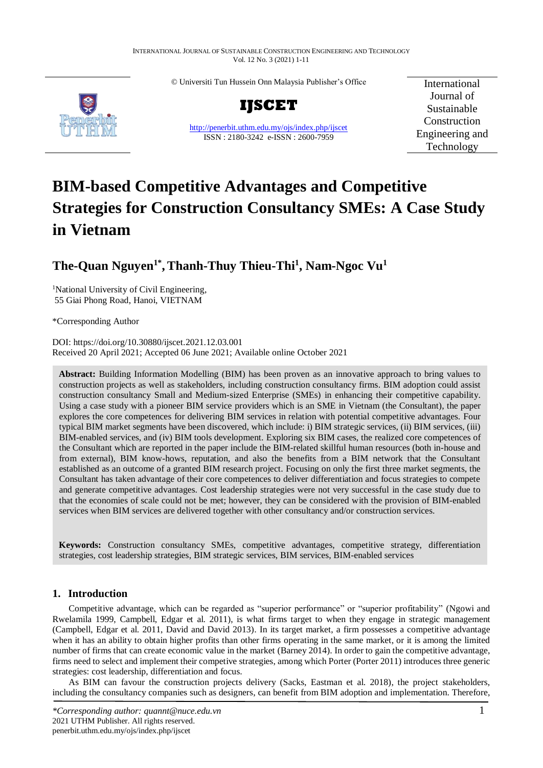© Universiti Tun Hussein Onn Malaysia Publisher's Office



**IJSCET**

<http://penerbit.uthm.edu.my/ojs/index.php/ijscet> ISSN : 2180-3242 e-ISSN : 2600-7959

International Journal of Sustainable Construction Engineering and Technology

# **BIM-based Competitive Advantages and Competitive Strategies for Construction Consultancy SMEs: A Case Study in Vietnam**

# **The-Quan Nguyen1\* ,Thanh-Thuy Thieu-Thi<sup>1</sup> , Nam-Ngoc Vu<sup>1</sup>**

<sup>1</sup>National University of Civil Engineering, 55 Giai Phong Road, Hanoi, VIETNAM

\*Corresponding Author

DOI: https://doi.org/10.30880/ijscet.2021.12.03.001 Received 20 April 2021; Accepted 06 June 2021; Available online October 2021

**Abstract:** Building Information Modelling (BIM) has been proven as an innovative approach to bring values to construction projects as well as stakeholders, including construction consultancy firms. BIM adoption could assist construction consultancy Small and Medium-sized Enterprise (SMEs) in enhancing their competitive capability. Using a case study with a pioneer BIM service providers which is an SME in Vietnam (the Consultant), the paper explores the core competences for delivering BIM services in relation with potential competitive advantages. Four typical BIM market segments have been discovered, which include: i) BIM strategic services, (ii) BIM services, (iii) BIM-enabled services, and (iv) BIM tools development. Exploring six BIM cases, the realized core competences of the Consultant which are reported in the paper include the BIM-related skillful human resources (both in-house and from external), BIM know-hows, reputation, and also the benefits from a BIM network that the Consultant established as an outcome of a granted BIM research project. Focusing on only the first three market segments, the Consultant has taken advantage of their core competences to deliver differentiation and focus strategies to compete and generate competitive advantages. Cost leadership strategies were not very successful in the case study due to that the economies of scale could not be met; however, they can be considered with the provision of BIM-enabled services when BIM services are delivered together with other consultancy and/or construction services.

**Keywords:** Construction consultancy SMEs, competitive advantages, competitive strategy, differentiation strategies, cost leadership strategies, BIM strategic services, BIM services, BIM-enabled services

# **1. Introduction**

Competitive advantage, which can be regarded as "superior performance" or "superior profitability" (Ngowi and Rwelamila 1999, Campbell, Edgar et al. 2011), is what firms target to when they engage in strategic management (Campbell, Edgar et al. 2011, David and David 2013). In its target market, a firm possesses a competitive advantage when it has an ability to obtain higher profits than other firms operating in the same market, or it is among the limited number of firms that can create economic value in the market (Barney 2014). In order to gain the competitive advantage, firms need to select and implement their competive strategies, among which Porter (Porter 2011) introduces three generic strategies: cost leadership, differentiation and focus.

As BIM can favour the construction projects delivery (Sacks, Eastman et al. 2018), the project stakeholders, including the consultancy companies such as designers, can benefit from BIM adoption and implementation. Therefore,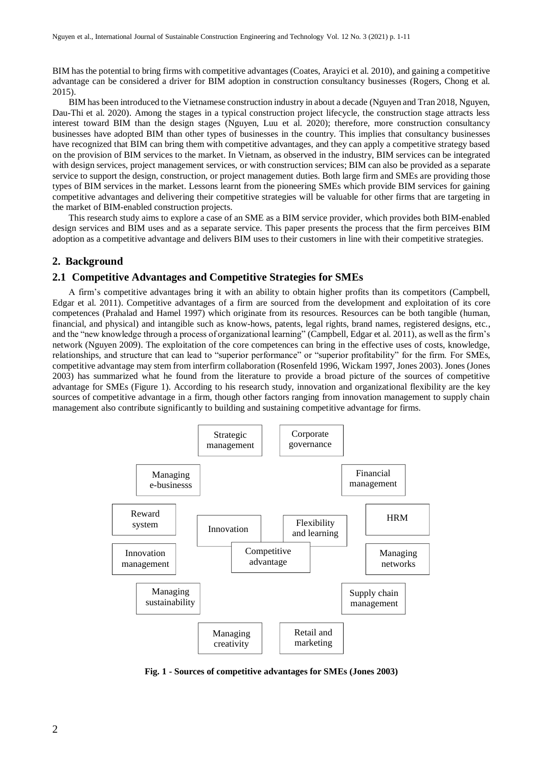BIM has the potential to bring firms with competitive advantages (Coates, Arayici et al. 2010), and gaining a competitive advantage can be considered a driver for BIM adoption in construction consultancy businesses (Rogers, Chong et al. 2015).

BIM has been introduced to the Vietnamese construction industry in about a decade (Nguyen and Tran 2018, Nguyen, Dau-Thi et al. 2020). Among the stages in a typical construction project lifecycle, the construction stage attracts less interest toward BIM than the design stages (Nguyen, Luu et al. 2020); therefore, more construction consultancy businesses have adopted BIM than other types of businesses in the country. This implies that consultancy businesses have recognized that BIM can bring them with competitive advantages, and they can apply a competitive strategy based on the provision of BIM services to the market. In Vietnam, as observed in the industry, BIM services can be integrated with design services, project management services, or with construction services; BIM can also be provided as a separate service to support the design, construction, or project management duties. Both large firm and SMEs are providing those types of BIM services in the market. Lessons learnt from the pioneering SMEs which provide BIM services for gaining competitive advantages and delivering their competitive strategies will be valuable for other firms that are targeting in the market of BIM-enabled construction projects.

This research study aims to explore a case of an SME as a BIM service provider, which provides both BIM-enabled design services and BIM uses and as a separate service. This paper presents the process that the firm perceives BIM adoption as a competitive advantage and delivers BIM uses to their customers in line with their competitive strategies.

#### **2. Background**

#### **2.1 Competitive Advantages and Competitive Strategies for SMEs**

A firm's competitive advantages bring it with an ability to obtain higher profits than its competitors (Campbell, Edgar et al. 2011). Competitive advantages of a firm are sourced from the development and exploitation of its core competences (Prahalad and Hamel 1997) which originate from its resources. Resources can be both tangible (human, financial, and physical) and intangible such as know-hows, patents, legal rights, brand names, registered designs, etc., and the "new knowledge through a process of organizational learning" (Campbell, Edgar et al. 2011), as well as the firm's network (Nguyen 2009). The exploitation of the core competences can bring in the effective uses of costs, knowledge, relationships, and structure that can lead to "superior performance" or "superior profitability" for the firm. For SMEs, competitive advantage may stem from interfirm collaboration (Rosenfeld 1996, Wickam 1997, Jones 2003). Jones (Jones 2003) has summarized what he found from the literature to provide a broad picture of the sources of competitive advantage for SMEs (Figure 1). According to his research study, innovation and organizational flexibility are the key sources of competitive advantage in a firm, though other factors ranging from innovation management to supply chain management also contribute significantly to building and sustaining competitive advantage for firms.



**Fig. 1 - Sources of competitive advantages for SMEs (Jones 2003)**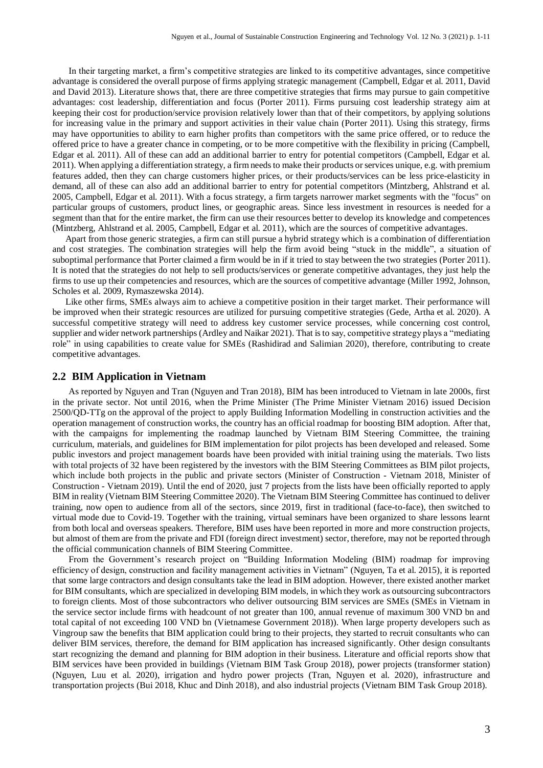In their targeting market, a firm's competitive strategies are linked to its competitive advantages, since competitive advantage is considered the overall purpose of firms applying strategic management (Campbell, Edgar et al. 2011, David and David 2013). Literature shows that, there are three competitive strategies that firms may pursue to gain competitive advantages: cost leadership, differentiation and focus (Porter 2011). Firms pursuing cost leadership strategy aim at keeping their cost for production/service provision relatively lower than that of their competitors, by applying solutions for increasing value in the primary and support activities in their value chain (Porter 2011). Using this strategy, firms may have opportunities to ability to earn higher profits than competitors with the same price offered, or to reduce the offered price to have a greater chance in competing, or to be more competitive with the flexibility in pricing (Campbell, Edgar et al. 2011). All of these can add an additional barrier to entry for potential competitors (Campbell, Edgar et al. 2011). When applying a differentiation strategy, a firm needs to make their products or services unique, e.g. with premium features added, then they can charge customers higher prices, or their products/services can be less price-elasticity in demand, all of these can also add an additional barrier to entry for potential competitors (Mintzberg, Ahlstrand et al. 2005, Campbell, Edgar et al. 2011). With a focus strategy, a firm targets narrower market segments with the "focus" on particular groups of customers, product lines, or geographic areas. Since less investment in resources is needed for a segment than that for the entire market, the firm can use their resources better to develop its knowledge and competences (Mintzberg, Ahlstrand et al. 2005, Campbell, Edgar et al. 2011), which are the sources of competitive advantages.

Apart from those generic strategies, a firm can still pursue a hybrid strategy which is a combination of differentiation and cost strategies. The combination strategies will help the firm avoid being "stuck in the middle", a situation of suboptimal performance that Porter claimed a firm would be in if it tried to stay between the two strategies (Porter 2011). It is noted that the strategies do not help to sell products/services or generate competitive advantages, they just help the firms to use up their competencies and resources, which are the sources of competitive advantage (Miller 1992, Johnson, Scholes et al. 2009, Rymaszewska 2014).

Like other firms, SMEs always aim to achieve a competitive position in their target market. Their performance will be improved when their strategic resources are utilized for pursuing competitive strategies (Gede, Artha et al. 2020). A successful competitive strategy will need to address key customer service processes, while concerning cost control, supplier and wider network partnerships (Ardley and Naikar 2021). That is to say, competitive strategy plays a "mediating role" in using capabilities to create value for SMEs (Rashidirad and Salimian 2020), therefore, contributing to create competitive advantages.

#### **2.2 BIM Application in Vietnam**

As reported by Nguyen and Tran (Nguyen and Tran 2018), BIM has been introduced to Vietnam in late 2000s, first in the private sector. Not until 2016, when the Prime Minister (The Prime Minister Vietnam 2016) issued Decision 2500/QD-TTg on the approval of the project to apply Building Information Modelling in construction activities and the operation management of construction works, the country has an official roadmap for boosting BIM adoption. After that, with the campaigns for implementing the roadmap launched by Vietnam BIM Steering Committee, the training curriculum, materials, and guidelines for BIM implementation for pilot projects has been developed and released. Some public investors and project management boards have been provided with initial training using the materials. Two lists with total projects of 32 have been registered by the investors with the BIM Steering Committees as BIM pilot projects, which include both projects in the public and private sectors (Minister of Construction - Vietnam 2018, Minister of Construction - Vietnam 2019). Until the end of 2020, just 7 projects from the lists have been officially reported to apply BIM in reality (Vietnam BIM Steering Committee 2020). The Vietnam BIM Steering Committee has continued to deliver training, now open to audience from all of the sectors, since 2019, first in traditional (face-to-face), then switched to virtual mode due to Covid-19. Together with the training, virtual seminars have been organized to share lessons learnt from both local and overseas speakers. Therefore, BIM uses have been reported in more and more construction projects, but almost of them are from the private and FDI (foreign direct investment) sector, therefore, may not be reported through the official communication channels of BIM Steering Committee.

From the Government's research project on "Building Information Modeling (BIM) roadmap for improving efficiency of design, construction and facility management activities in Vietnam" (Nguyen, Ta et al. 2015), it is reported that some large contractors and design consultants take the lead in BIM adoption. However, there existed another market for BIM consultants, which are specialized in developing BIM models, in which they work as outsourcing subcontractors to foreign clients. Most of those subcontractors who deliver outsourcing BIM services are SMEs (SMEs in Vietnam in the service sector include firms with headcount of not greater than 100, annual revenue of maximum 300 VND bn and total capital of not exceeding 100 VND bn (Vietnamese Government 2018)). When large property developers such as Vingroup saw the benefits that BIM application could bring to their projects, they started to recruit consultants who can deliver BIM services, therefore, the demand for BIM application has increased significantly. Other design consultants start recognizing the demand and planning for BIM adoption in their business. Literature and official reports show that BIM services have been provided in buildings (Vietnam BIM Task Group 2018), power projects (transformer station) (Nguyen, Luu et al. 2020), irrigation and hydro power projects (Tran, Nguyen et al. 2020), infrastructure and transportation projects (Bui 2018, Khuc and Dinh 2018), and also industrial projects (Vietnam BIM Task Group 2018).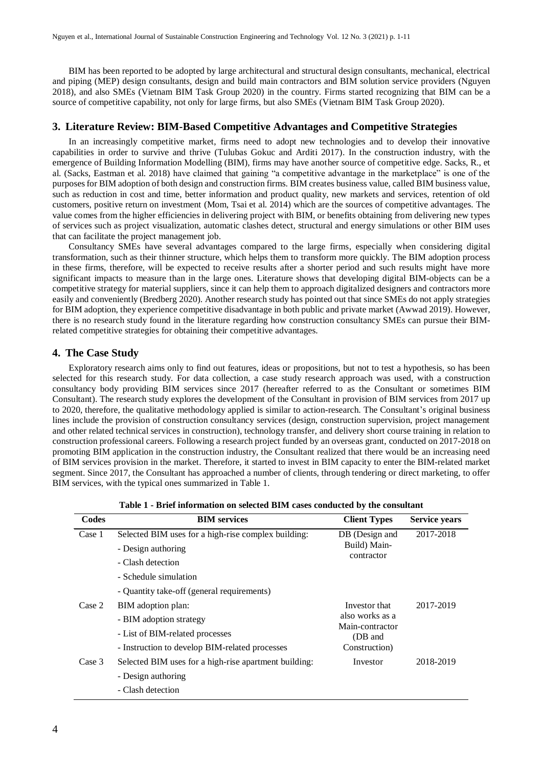BIM has been reported to be adopted by large architectural and structural design consultants, mechanical, electrical and piping (MEP) design consultants, design and build main contractors and BIM solution service providers (Nguyen 2018), and also SMEs (Vietnam BIM Task Group 2020) in the country. Firms started recognizing that BIM can be a source of competitive capability, not only for large firms, but also SMEs (Vietnam BIM Task Group 2020).

#### **3. Literature Review: BIM-Based Competitive Advantages and Competitive Strategies**

In an increasingly competitive market, firms need to adopt new technologies and to develop their innovative capabilities in order to survive and thrive (Tulubas Gokuc and Arditi 2017). In the construction industry, with the emergence of Building Information Modelling (BIM), firms may have another source of competitive edge. Sacks, R., et al. (Sacks, Eastman et al. 2018) have claimed that gaining "a competitive advantage in the marketplace" is one of the purposes for BIM adoption of both design and construction firms. BIM creates business value, called BIM business value, such as reduction in cost and time, better information and product quality, new markets and services, retention of old customers, positive return on investment (Mom, Tsai et al. 2014) which are the sources of competitive advantages. The value comes from the higher efficiencies in delivering project with BIM, or benefits obtaining from delivering new types of services such as project visualization, automatic clashes detect, structural and energy simulations or other BIM uses that can facilitate the project management job.

Consultancy SMEs have several advantages compared to the large firms, especially when considering digital transformation, such as their thinner structure, which helps them to transform more quickly. The BIM adoption process in these firms, therefore, will be expected to receive results after a shorter period and such results might have more significant impacts to measure than in the large ones. Literature shows that developing digital BIM-objects can be a competitive strategy for material suppliers, since it can help them to approach digitalized designers and contractors more easily and conveniently (Bredberg 2020). Another research study has pointed out that since SMEs do not apply strategies for BIM adoption, they experience competitive disadvantage in both public and private market (Awwad 2019). However, there is no research study found in the literature regarding how construction consultancy SMEs can pursue their BIMrelated competitive strategies for obtaining their competitive advantages.

#### **4. The Case Study**

Exploratory research aims only to find out features, ideas or propositions, but not to test a hypothesis, so has been selected for this research study. For data collection, a case study research approach was used, with a construction consultancy body providing BIM services since 2017 (hereafter referred to as the Consultant or sometimes BIM Consultant). The research study explores the development of the Consultant in provision of BIM services from 2017 up to 2020, therefore, the qualitative methodology applied is similar to action-research. The Consultant's original business lines include the provision of construction consultancy services (design, construction supervision, project management and other related technical services in construction), technology transfer, and delivery short course training in relation to construction professional careers. Following a research project funded by an overseas grant, conducted on 2017-2018 on promoting BIM application in the construction industry, the Consultant realized that there would be an increasing need of BIM services provision in the market. Therefore, it started to invest in BIM capacity to enter the BIM-related market segment. Since 2017, the Consultant has approached a number of clients, through tendering or direct marketing, to offer BIM services, with the typical ones summarized in Table 1.

| Codes  | <b>BIM</b> services                                   | <b>Client Types</b>                                                             | <b>Service years</b> |
|--------|-------------------------------------------------------|---------------------------------------------------------------------------------|----------------------|
| Case 1 | Selected BIM uses for a high-rise complex building:   | DB (Design and<br>Build) Main-<br>contractor                                    | 2017-2018            |
|        | - Design authoring                                    |                                                                                 |                      |
|        | - Clash detection                                     |                                                                                 |                      |
|        | - Schedule simulation                                 |                                                                                 |                      |
|        | - Quantity take-off (general requirements)            |                                                                                 |                      |
| Case 2 | BIM adoption plan:                                    | Investor that<br>also works as a<br>Main-contractor<br>(DB and<br>Construction) | 2017-2019            |
|        | - BIM adoption strategy                               |                                                                                 |                      |
|        | - List of BIM-related processes                       |                                                                                 |                      |
|        | - Instruction to develop BIM-related processes        |                                                                                 |                      |
| Case 3 | Selected BIM uses for a high-rise apartment building: | Investor                                                                        | 2018-2019            |
|        | - Design authoring                                    |                                                                                 |                      |
|        | - Clash detection                                     |                                                                                 |                      |

**Table 1 - Brief information on selected BIM cases conducted by the consultant**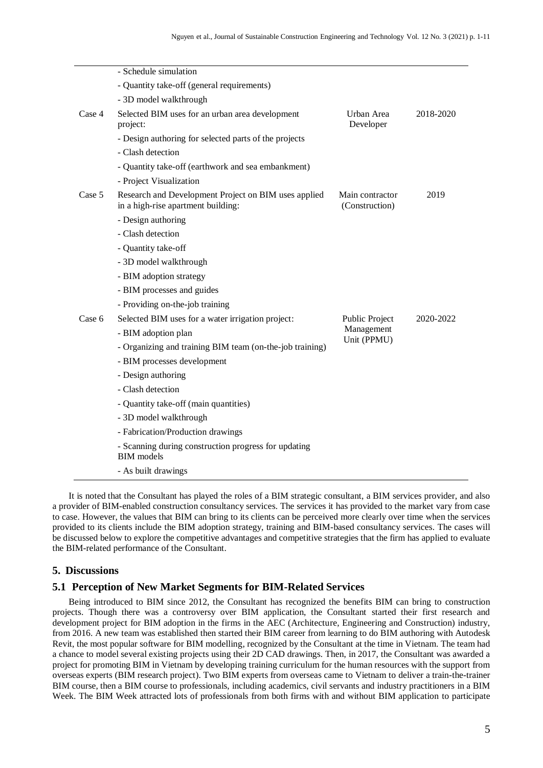|        | - Schedule simulation                                                                      |                                             |           |
|--------|--------------------------------------------------------------------------------------------|---------------------------------------------|-----------|
|        | - Quantity take-off (general requirements)                                                 |                                             |           |
|        | - 3D model walkthrough                                                                     |                                             |           |
| Case 4 | Selected BIM uses for an urban area development<br>project:                                | Urban Area<br>Developer                     | 2018-2020 |
|        | - Design authoring for selected parts of the projects                                      |                                             |           |
|        | - Clash detection                                                                          |                                             |           |
|        | - Quantity take-off (earthwork and sea embankment)                                         |                                             |           |
|        | - Project Visualization                                                                    |                                             |           |
| Case 5 | Research and Development Project on BIM uses applied<br>in a high-rise apartment building: | Main contractor<br>(Construction)           | 2019      |
|        | - Design authoring                                                                         |                                             |           |
|        | - Clash detection                                                                          |                                             |           |
|        | - Quantity take-off                                                                        |                                             |           |
|        | - 3D model walkthrough                                                                     |                                             |           |
|        | - BIM adoption strategy                                                                    |                                             |           |
|        | - BIM processes and guides                                                                 |                                             |           |
|        | - Providing on-the-job training                                                            |                                             |           |
| Case 6 | Selected BIM uses for a water irrigation project:                                          | Public Project<br>Management<br>Unit (PPMU) | 2020-2022 |
|        | - BIM adoption plan                                                                        |                                             |           |
|        | - Organizing and training BIM team (on-the-job training)                                   |                                             |           |
|        | - BIM processes development                                                                |                                             |           |
|        | - Design authoring                                                                         |                                             |           |
|        | - Clash detection                                                                          |                                             |           |
|        | - Quantity take-off (main quantities)                                                      |                                             |           |
|        | - 3D model walkthrough                                                                     |                                             |           |
|        | - Fabrication/Production drawings                                                          |                                             |           |
|        | - Scanning during construction progress for updating<br><b>BIM</b> models                  |                                             |           |
|        | - As built drawings                                                                        |                                             |           |

It is noted that the Consultant has played the roles of a BIM strategic consultant, a BIM services provider, and also a provider of BIM-enabled construction consultancy services. The services it has provided to the market vary from case to case. However, the values that BIM can bring to its clients can be perceived more clearly over time when the services provided to its clients include the BIM adoption strategy, training and BIM-based consultancy services. The cases will be discussed below to explore the competitive advantages and competitive strategies that the firm has applied to evaluate the BIM-related performance of the Consultant.

#### **5. Discussions**

## **5.1 Perception of New Market Segments for BIM-Related Services**

Being introduced to BIM since 2012, the Consultant has recognized the benefits BIM can bring to construction projects. Though there was a controversy over BIM application, the Consultant started their first research and development project for BIM adoption in the firms in the AEC (Architecture, Engineering and Construction) industry, from 2016. A new team was established then started their BIM career from learning to do BIM authoring with Autodesk Revit, the most popular software for BIM modelling, recognized by the Consultant at the time in Vietnam. The team had a chance to model several existing projects using their 2D CAD drawings. Then, in 2017, the Consultant was awarded a project for promoting BIM in Vietnam by developing training curriculum for the human resources with the support from overseas experts (BIM research project). Two BIM experts from overseas came to Vietnam to deliver a train-the-trainer BIM course, then a BIM course to professionals, including academics, civil servants and industry practitioners in a BIM Week. The BIM Week attracted lots of professionals from both firms with and without BIM application to participate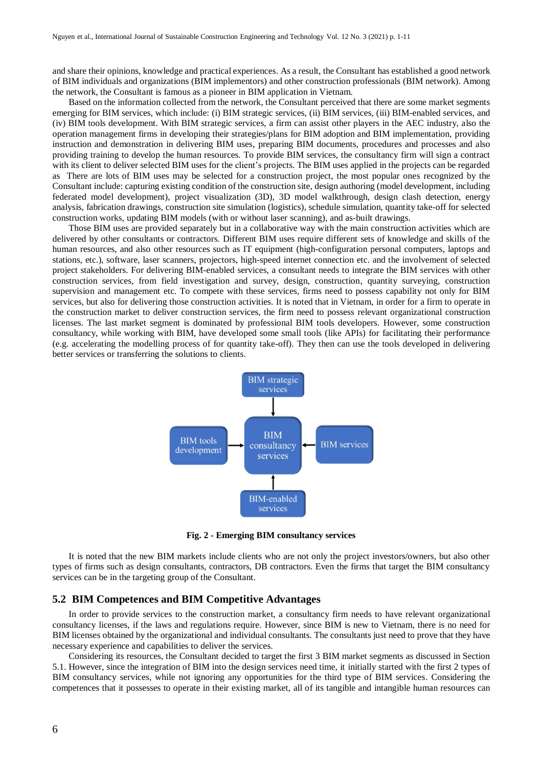and share their opinions, knowledge and practical experiences. As a result, the Consultant has established a good network of BIM individuals and organizations (BIM implementors) and other construction professionals (BIM network). Among the network, the Consultant is famous as a pioneer in BIM application in Vietnam.

Based on the information collected from the network, the Consultant perceived that there are some market segments emerging for BIM services, which include: (i) BIM strategic services, (ii) BIM services, (iii) BIM-enabled services, and (iv) BIM tools development. With BIM strategic services, a firm can assist other players in the AEC industry, also the operation management firms in developing their strategies/plans for BIM adoption and BIM implementation, providing instruction and demonstration in delivering BIM uses, preparing BIM documents, procedures and processes and also providing training to develop the human resources. To provide BIM services, the consultancy firm will sign a contract with its client to deliver selected BIM uses for the client's projects. The BIM uses applied in the projects can be regarded as There are lots of BIM uses may be selected for a construction project, the most popular ones recognized by the Consultant include: capturing existing condition of the construction site, design authoring (model development, including federated model development), project visualization (3D), 3D model walkthrough, design clash detection, energy analysis, fabrication drawings, construction site simulation (logistics), schedule simulation, quantity take-off for selected construction works, updating BIM models (with or without laser scanning), and as-built drawings.

Those BIM uses are provided separately but in a collaborative way with the main construction activities which are delivered by other consultants or contractors. Different BIM uses require different sets of knowledge and skills of the human resources, and also other resources such as IT equipment (high-configuration personal computers, laptops and stations, etc.), software, laser scanners, projectors, high-speed internet connection etc. and the involvement of selected project stakeholders. For delivering BIM-enabled services, a consultant needs to integrate the BIM services with other construction services, from field investigation and survey, design, construction, quantity surveying, construction supervision and management etc. To compete with these services, firms need to possess capability not only for BIM services, but also for delivering those construction activities. It is noted that in Vietnam, in order for a firm to operate in the construction market to deliver construction services, the firm need to possess relevant organizational construction licenses. The last market segment is dominated by professional BIM tools developers. However, some construction consultancy, while working with BIM, have developed some small tools (like APIs) for facilitating their performance (e.g. accelerating the modelling process of for quantity take-off). They then can use the tools developed in delivering better services or transferring the solutions to clients.



**Fig. 2 - Emerging BIM consultancy services**

It is noted that the new BIM markets include clients who are not only the project investors/owners, but also other types of firms such as design consultants, contractors, DB contractors. Even the firms that target the BIM consultancy services can be in the targeting group of the Consultant.

#### **5.2 BIM Competences and BIM Competitive Advantages**

In order to provide services to the construction market, a consultancy firm needs to have relevant organizational consultancy licenses, if the laws and regulations require. However, since BIM is new to Vietnam, there is no need for BIM licenses obtained by the organizational and individual consultants. The consultants just need to prove that they have necessary experience and capabilities to deliver the services.

Considering its resources, the Consultant decided to target the first 3 BIM market segments as discussed in Section 5.1. However, since the integration of BIM into the design services need time, it initially started with the first 2 types of BIM consultancy services, while not ignoring any opportunities for the third type of BIM services. Considering the competences that it possesses to operate in their existing market, all of its tangible and intangible human resources can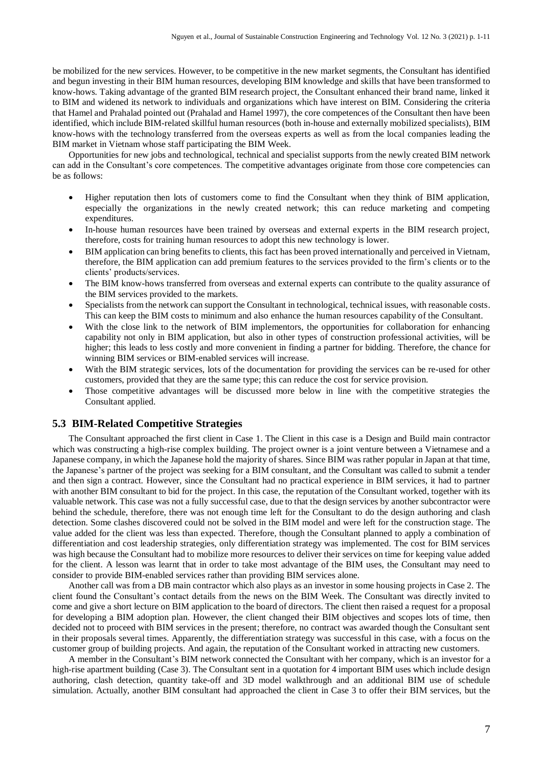be mobilized for the new services. However, to be competitive in the new market segments, the Consultant has identified and begun investing in their BIM human resources, developing BIM knowledge and skills that have been transformed to know-hows. Taking advantage of the granted BIM research project, the Consultant enhanced their brand name, linked it to BIM and widened its network to individuals and organizations which have interest on BIM. Considering the criteria that Hamel and Prahalad pointed out (Prahalad and Hamel 1997), the core competences of the Consultant then have been identified, which include BIM-related skillful human resources (both in-house and externally mobilized specialists), BIM know-hows with the technology transferred from the overseas experts as well as from the local companies leading the BIM market in Vietnam whose staff participating the BIM Week.

Opportunities for new jobs and technological, technical and specialist supports from the newly created BIM network can add in the Consultant's core competences. The competitive advantages originate from those core competencies can be as follows:

- Higher reputation then lots of customers come to find the Consultant when they think of BIM application, especially the organizations in the newly created network; this can reduce marketing and competing expenditures.
- In-house human resources have been trained by overseas and external experts in the BIM research project, therefore, costs for training human resources to adopt this new technology is lower.
- BIM application can bring benefits to clients, this fact has been proved internationally and perceived in Vietnam, therefore, the BIM application can add premium features to the services provided to the firm's clients or to the clients' products/services.
- The BIM know-hows transferred from overseas and external experts can contribute to the quality assurance of the BIM services provided to the markets.
- Specialists from the network can support the Consultant in technological, technical issues, with reasonable costs. This can keep the BIM costs to minimum and also enhance the human resources capability of the Consultant.
- With the close link to the network of BIM implementors, the opportunities for collaboration for enhancing capability not only in BIM application, but also in other types of construction professional activities, will be higher; this leads to less costly and more convenient in finding a partner for bidding. Therefore, the chance for winning BIM services or BIM-enabled services will increase.
- With the BIM strategic services, lots of the documentation for providing the services can be re-used for other customers, provided that they are the same type; this can reduce the cost for service provision.
- Those competitive advantages will be discussed more below in line with the competitive strategies the Consultant applied.

## **5.3 BIM-Related Competitive Strategies**

The Consultant approached the first client in Case 1. The Client in this case is a Design and Build main contractor which was constructing a high-rise complex building. The project owner is a joint venture between a Vietnamese and a Japanese company, in which the Japanese hold the majority of shares. Since BIM was rather popular in Japan at that time, the Japanese's partner of the project was seeking for a BIM consultant, and the Consultant was called to submit a tender and then sign a contract. However, since the Consultant had no practical experience in BIM services, it had to partner with another BIM consultant to bid for the project. In this case, the reputation of the Consultant worked, together with its valuable network. This case was not a fully successful case, due to that the design services by another subcontractor were behind the schedule, therefore, there was not enough time left for the Consultant to do the design authoring and clash detection. Some clashes discovered could not be solved in the BIM model and were left for the construction stage. The value added for the client was less than expected. Therefore, though the Consultant planned to apply a combination of differentiation and cost leadership strategies, only differentiation strategy was implemented. The cost for BIM services was high because the Consultant had to mobilize more resources to deliver their services on time for keeping value added for the client. A lesson was learnt that in order to take most advantage of the BIM uses, the Consultant may need to consider to provide BIM-enabled services rather than providing BIM services alone.

Another call was from a DB main contractor which also plays as an investor in some housing projects in Case 2. The client found the Consultant's contact details from the news on the BIM Week. The Consultant was directly invited to come and give a short lecture on BIM application to the board of directors. The client then raised a request for a proposal for developing a BIM adoption plan. However, the client changed their BIM objectives and scopes lots of time, then decided not to proceed with BIM services in the present; therefore, no contract was awarded though the Consultant sent in their proposals several times. Apparently, the differentiation strategy was successful in this case, with a focus on the customer group of building projects. And again, the reputation of the Consultant worked in attracting new customers.

A member in the Consultant's BIM network connected the Consultant with her company, which is an investor for a high-rise apartment building (Case 3). The Consultant sent in a quotation for 4 important BIM uses which include design authoring, clash detection, quantity take-off and 3D model walkthrough and an additional BIM use of schedule simulation. Actually, another BIM consultant had approached the client in Case 3 to offer their BIM services, but the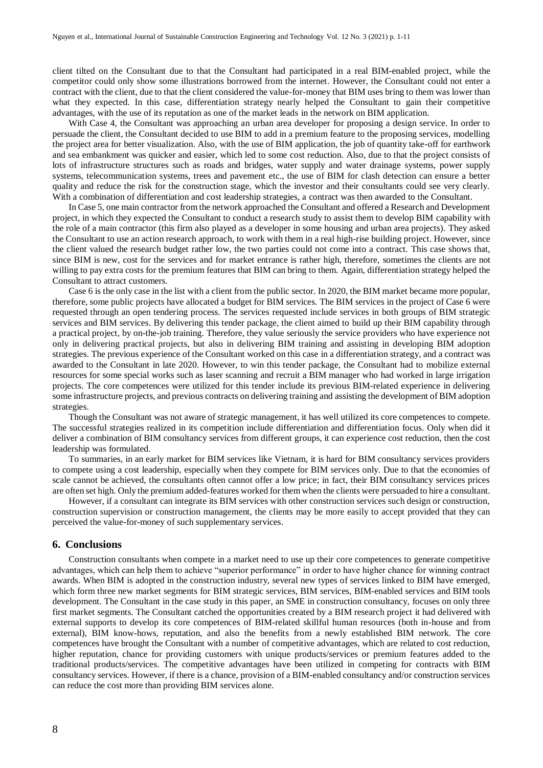client tilted on the Consultant due to that the Consultant had participated in a real BIM-enabled project, while the competitor could only show some illustrations borrowed from the internet. However, the Consultant could not enter a contract with the client, due to that the client considered the value-for-money that BIM uses bring to them was lower than what they expected. In this case, differentiation strategy nearly helped the Consultant to gain their competitive advantages, with the use of its reputation as one of the market leads in the network on BIM application.

With Case 4, the Consultant was approaching an urban area developer for proposing a design service. In order to persuade the client, the Consultant decided to use BIM to add in a premium feature to the proposing services, modelling the project area for better visualization. Also, with the use of BIM application, the job of quantity take-off for earthwork and sea embankment was quicker and easier, which led to some cost reduction. Also, due to that the project consists of lots of infrastructure structures such as roads and bridges, water supply and water drainage systems, power supply systems, telecommunication systems, trees and pavement etc., the use of BIM for clash detection can ensure a better quality and reduce the risk for the construction stage, which the investor and their consultants could see very clearly. With a combination of differentiation and cost leadership strategies, a contract was then awarded to the Consultant.

In Case 5, one main contractor from the network approached the Consultant and offered a Research and Development project, in which they expected the Consultant to conduct a research study to assist them to develop BIM capability with the role of a main contractor (this firm also played as a developer in some housing and urban area projects). They asked the Consultant to use an action research approach, to work with them in a real high-rise building project. However, since the client valued the research budget rather low, the two parties could not come into a contract. This case shows that, since BIM is new, cost for the services and for market entrance is rather high, therefore, sometimes the clients are not willing to pay extra costs for the premium features that BIM can bring to them. Again, differentiation strategy helped the Consultant to attract customers.

Case 6 is the only case in the list with a client from the public sector. In 2020, the BIM market became more popular, therefore, some public projects have allocated a budget for BIM services. The BIM services in the project of Case 6 were requested through an open tendering process. The services requested include services in both groups of BIM strategic services and BIM services. By delivering this tender package, the client aimed to build up their BIM capability through a practical project, by on-the-job training. Therefore, they value seriously the service providers who have experience not only in delivering practical projects, but also in delivering BIM training and assisting in developing BIM adoption strategies. The previous experience of the Consultant worked on this case in a differentiation strategy, and a contract was awarded to the Consultant in late 2020. However, to win this tender package, the Consultant had to mobilize external resources for some special works such as laser scanning and recruit a BIM manager who had worked in large irrigation projects. The core competences were utilized for this tender include its previous BIM-related experience in delivering some infrastructure projects, and previous contracts on delivering training and assisting the development of BIM adoption strategies.

Though the Consultant was not aware of strategic management, it has well utilized its core competences to compete. The successful strategies realized in its competition include differentiation and differentiation focus. Only when did it deliver a combination of BIM consultancy services from different groups, it can experience cost reduction, then the cost leadership was formulated.

To summaries, in an early market for BIM services like Vietnam, it is hard for BIM consultancy services providers to compete using a cost leadership, especially when they compete for BIM services only. Due to that the economies of scale cannot be achieved, the consultants often cannot offer a low price; in fact, their BIM consultancy services prices are often set high. Only the premium added-features worked for them when the clients were persuaded to hire a consultant.

However, if a consultant can integrate its BIM services with other construction services such design or construction, construction supervision or construction management, the clients may be more easily to accept provided that they can perceived the value-for-money of such supplementary services.

#### **6. Conclusions**

Construction consultants when compete in a market need to use up their core competences to generate competitive advantages, which can help them to achieve "superior performance" in order to have higher chance for winning contract awards. When BIM is adopted in the construction industry, several new types of services linked to BIM have emerged, which form three new market segments for BIM strategic services, BIM services, BIM-enabled services and BIM tools development. The Consultant in the case study in this paper, an SME in construction consultancy, focuses on only three first market segments. The Consultant catched the opportunities created by a BIM research project it had delivered with external supports to develop its core competences of BIM-related skillful human resources (both in-house and from external), BIM know-hows, reputation, and also the benefits from a newly established BIM network. The core competences have brought the Consultant with a number of competitive advantages, which are related to cost reduction, higher reputation, chance for providing customers with unique products/services or premium features added to the traditional products/services. The competitive advantages have been utilized in competing for contracts with BIM consultancy services. However, if there is a chance, provision of a BIM-enabled consultancy and/or construction services can reduce the cost more than providing BIM services alone.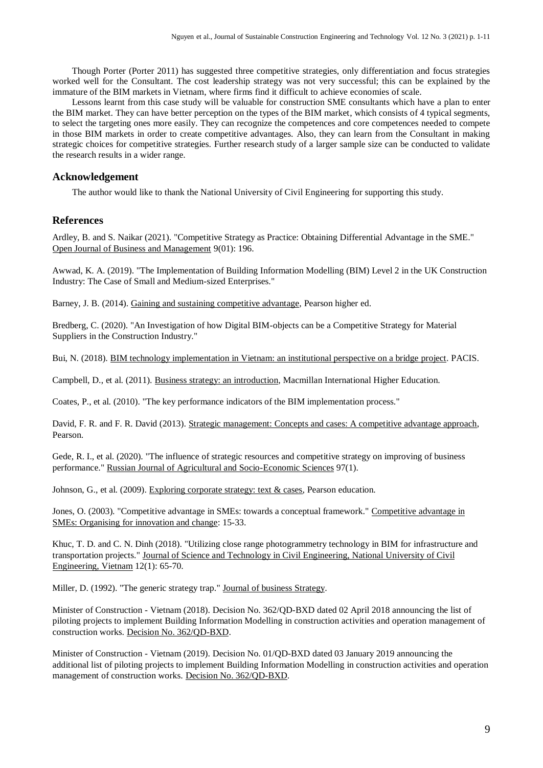Though Porter (Porter 2011) has suggested three competitive strategies, only differentiation and focus strategies worked well for the Consultant. The cost leadership strategy was not very successful; this can be explained by the immature of the BIM markets in Vietnam, where firms find it difficult to achieve economies of scale.

Lessons learnt from this case study will be valuable for construction SME consultants which have a plan to enter the BIM market. They can have better perception on the types of the BIM market, which consists of 4 typical segments, to select the targeting ones more easily. They can recognize the competences and core competences needed to compete in those BIM markets in order to create competitive advantages. Also, they can learn from the Consultant in making strategic choices for competitive strategies. Further research study of a larger sample size can be conducted to validate the research results in a wider range.

# **Acknowledgement**

The author would like to thank the National University of Civil Engineering for supporting this study.

# **References**

Ardley, B. and S. Naikar (2021). "Competitive Strategy as Practice: Obtaining Differential Advantage in the SME." Open Journal of Business and Management 9(01): 196.

Awwad, K. A. (2019). "The Implementation of Building Information Modelling (BIM) Level 2 in the UK Construction Industry: The Case of Small and Medium-sized Enterprises."

Barney, J. B. (2014). Gaining and sustaining competitive advantage, Pearson higher ed.

Bredberg, C. (2020). "An Investigation of how Digital BIM-objects can be a Competitive Strategy for Material Suppliers in the Construction Industry."

Bui, N. (2018). BIM technology implementation in Vietnam: an institutional perspective on a bridge project. PACIS.

Campbell, D., et al. (2011). Business strategy: an introduction, Macmillan International Higher Education.

Coates, P., et al. (2010). "The key performance indicators of the BIM implementation process."

David, F. R. and F. R. David (2013). Strategic management: Concepts and cases: A competitive advantage approach, Pearson.

Gede, R. I., et al. (2020). "The influence of strategic resources and competitive strategy on improving of business performance." Russian Journal of Agricultural and Socio-Economic Sciences 97(1).

Johnson, G., et al. (2009). Exploring corporate strategy: text & cases, Pearson education.

Jones, O. (2003). "Competitive advantage in SMEs: towards a conceptual framework." Competitive advantage in SMEs: Organising for innovation and change: 15-33.

Khuc, T. D. and C. N. Dinh (2018). "Utilizing close range photogrammetry technology in BIM for infrastructure and transportation projects." Journal of Science and Technology in Civil Engineering, National University of Civil Engineering, Vietnam 12(1): 65-70.

Miller, D. (1992). "The generic strategy trap." Journal of business Strategy.

Minister of Construction - Vietnam (2018). Decision No. 362/QD-BXD dated 02 April 2018 announcing the list of piloting projects to implement Building Information Modelling in construction activities and operation management of construction works. Decision No. 362/QD-BXD.

Minister of Construction - Vietnam (2019). Decision No. 01/QD-BXD dated 03 January 2019 announcing the additional list of piloting projects to implement Building Information Modelling in construction activities and operation management of construction works. Decision No. 362/QD-BXD.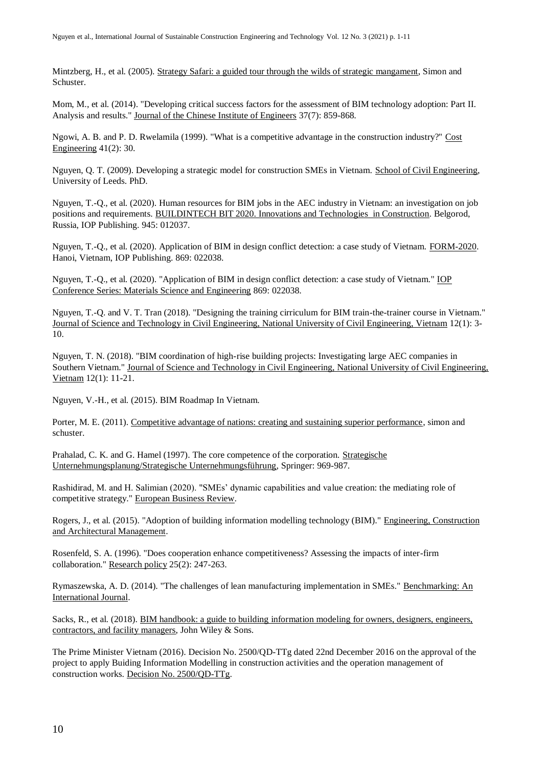Mintzberg, H., et al. (2005). Strategy Safari: a guided tour through the wilds of strategic mangament, Simon and Schuster.

Mom, M., et al. (2014). "Developing critical success factors for the assessment of BIM technology adoption: Part II. Analysis and results." Journal of the Chinese Institute of Engineers 37(7): 859-868.

Ngowi, A. B. and P. D. Rwelamila (1999). "What is a competitive advantage in the construction industry?" Cost Engineering 41(2): 30.

Nguyen, Q. T. (2009). Developing a strategic model for construction SMEs in Vietnam. School of Civil Engineering, University of Leeds. PhD.

Nguyen, T.-Q., et al. (2020). Human resources for BIM jobs in the AEC industry in Vietnam: an investigation on job positions and requirements. BUILDINTECH BIT 2020. Innovations and Technologies in Construction. Belgorod, Russia, IOP Publishing. 945: 012037.

Nguyen, T.-Q., et al. (2020). Application of BIM in design conflict detection: a case study of Vietnam. FORM-2020. Hanoi, Vietnam, IOP Publishing. 869: 022038.

Nguyen, T.-Q., et al. (2020). "Application of BIM in design conflict detection: a case study of Vietnam." IOP Conference Series: Materials Science and Engineering 869: 022038.

Nguyen, T.-Q. and V. T. Tran (2018). "Designing the training cirriculum for BIM train-the-trainer course in Vietnam." Journal of Science and Technology in Civil Engineering, National University of Civil Engineering, Vietnam 12(1): 3- 10.

Nguyen, T. N. (2018). "BIM coordination of high-rise building projects: Investigating large AEC companies in Southern Vietnam." Journal of Science and Technology in Civil Engineering, National University of Civil Engineering, Vietnam 12(1): 11-21.

Nguyen, V.-H., et al. (2015). BIM Roadmap In Vietnam.

Porter, M. E. (2011). Competitive advantage of nations: creating and sustaining superior performance, simon and schuster.

Prahalad, C. K. and G. Hamel (1997). The core competence of the corporation. Strategische Unternehmungsplanung/Strategische Unternehmungsführung, Springer: 969-987.

Rashidirad, M. and H. Salimian (2020). "SMEs' dynamic capabilities and value creation: the mediating role of competitive strategy." European Business Review.

Rogers, J., et al. (2015). "Adoption of building information modelling technology (BIM)." Engineering, Construction and Architectural Management.

Rosenfeld, S. A. (1996). "Does cooperation enhance competitiveness? Assessing the impacts of inter-firm collaboration." Research policy 25(2): 247-263.

Rymaszewska, A. D. (2014). "The challenges of lean manufacturing implementation in SMEs." Benchmarking: An International Journal.

Sacks, R., et al. (2018). BIM handbook: a guide to building information modeling for owners, designers, engineers, contractors, and facility managers, John Wiley & Sons.

The Prime Minister Vietnam (2016). Decision No. 2500/QD-TTg dated 22nd December 2016 on the approval of the project to apply Buiding Information Modelling in construction activities and the operation management of construction works. Decision No. 2500/QD-TTg.